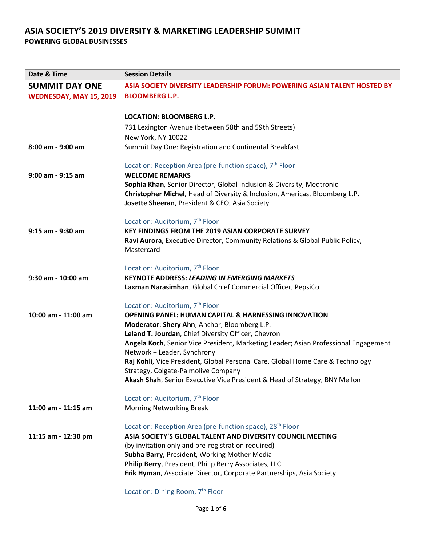| Date & Time             | <b>Session Details</b>                                                              |
|-------------------------|-------------------------------------------------------------------------------------|
| <b>SUMMIT DAY ONE</b>   | ASIA SOCIETY DIVERSITY LEADERSHIP FORUM: POWERING ASIAN TALENT HOSTED BY            |
| WEDNESDAY, MAY 15, 2019 | <b>BLOOMBERG L.P.</b>                                                               |
|                         |                                                                                     |
|                         | <b>LOCATION: BLOOMBERG L.P.</b>                                                     |
|                         | 731 Lexington Avenue (between 58th and 59th Streets)                                |
|                         | New York, NY 10022                                                                  |
| 8:00 am - 9:00 am       | Summit Day One: Registration and Continental Breakfast                              |
|                         | Location: Reception Area (pre-function space), 7 <sup>th</sup> Floor                |
| 9:00 am - 9:15 am       | <b>WELCOME REMARKS</b>                                                              |
|                         | Sophia Khan, Senior Director, Global Inclusion & Diversity, Medtronic               |
|                         | Christopher Michel, Head of Diversity & Inclusion, Americas, Bloomberg L.P.         |
|                         | Josette Sheeran, President & CEO, Asia Society                                      |
|                         |                                                                                     |
|                         | Location: Auditorium, 7 <sup>th</sup> Floor                                         |
| 9:15 am - 9:30 am       | <b>KEY FINDINGS FROM THE 2019 ASIAN CORPORATE SURVEY</b>                            |
|                         | Ravi Aurora, Executive Director, Community Relations & Global Public Policy,        |
|                         | Mastercard                                                                          |
|                         |                                                                                     |
|                         | Location: Auditorium, 7 <sup>th</sup> Floor                                         |
| 9:30 am - 10:00 am      | <b>KEYNOTE ADDRESS: LEADING IN EMERGING MARKETS</b>                                 |
|                         | Laxman Narasimhan, Global Chief Commercial Officer, PepsiCo                         |
|                         | Location: Auditorium, 7 <sup>th</sup> Floor                                         |
| 10:00 am - 11:00 am     | <b>OPENING PANEL: HUMAN CAPITAL &amp; HARNESSING INNOVATION</b>                     |
|                         | Moderator: Shery Ahn, Anchor, Bloomberg L.P.                                        |
|                         | Leland T. Jourdan, Chief Diversity Officer, Chevron                                 |
|                         | Angela Koch, Senior Vice President, Marketing Leader; Asian Professional Engagement |
|                         | Network + Leader, Synchrony                                                         |
|                         | Raj Kohli, Vice President, Global Personal Care, Global Home Care & Technology      |
|                         | Strategy, Colgate-Palmolive Company                                                 |
|                         | Akash Shah, Senior Executive Vice President & Head of Strategy, BNY Mellon          |
|                         | Location: Auditorium, 7 <sup>th</sup> Floor                                         |
| 11:00 am - 11:15 am     | <b>Morning Networking Break</b>                                                     |
|                         |                                                                                     |
|                         | Location: Reception Area (pre-function space), 28 <sup>th</sup> Floor               |
| 11:15 am - 12:30 pm     | ASIA SOCIETY'S GLOBAL TALENT AND DIVERSITY COUNCIL MEETING                          |
|                         | (by invitation only and pre-registration required)                                  |
|                         | Subha Barry, President, Working Mother Media                                        |
|                         | Philip Berry, President, Philip Berry Associates, LLC                               |
|                         | Erik Hyman, Associate Director, Corporate Partnerships, Asia Society                |
|                         | Location: Dining Room, 7 <sup>th</sup> Floor                                        |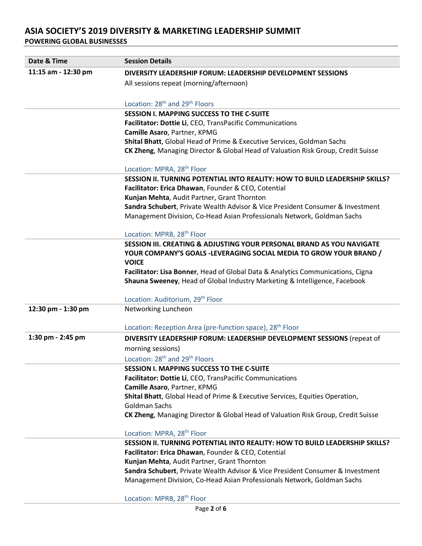| Date & Time         | <b>Session Details</b>                                                           |
|---------------------|----------------------------------------------------------------------------------|
| 11:15 am - 12:30 pm | DIVERSITY LEADERSHIP FORUM: LEADERSHIP DEVELOPMENT SESSIONS                      |
|                     | All sessions repeat (morning/afternoon)                                          |
|                     |                                                                                  |
|                     | Location: 28 <sup>th</sup> and 29 <sup>th</sup> Floors                           |
|                     | <b>SESSION I. MAPPING SUCCESS TO THE C-SUITE</b>                                 |
|                     | Facilitator: Dottie Li, CEO, TransPacific Communications                         |
|                     | Camille Asaro, Partner, KPMG                                                     |
|                     | Shital Bhatt, Global Head of Prime & Executive Services, Goldman Sachs           |
|                     | CK Zheng, Managing Director & Global Head of Valuation Risk Group, Credit Suisse |
|                     | Location: MPRA, 28 <sup>th</sup> Floor                                           |
|                     | SESSION II. TURNING POTENTIAL INTO REALITY: HOW TO BUILD LEADERSHIP SKILLS?      |
|                     | Facilitator: Erica Dhawan, Founder & CEO, Cotential                              |
|                     | Kunjan Mehta, Audit Partner, Grant Thornton                                      |
|                     | Sandra Schubert, Private Wealth Advisor & Vice President Consumer & Investment   |
|                     | Management Division, Co-Head Asian Professionals Network, Goldman Sachs          |
|                     | Location: MPRB, 28 <sup>th</sup> Floor                                           |
|                     | <b>SESSION III. CREATING &amp; ADJUSTING YOUR PERSONAL BRAND AS YOU NAVIGATE</b> |
|                     | YOUR COMPANY'S GOALS -LEVERAGING SOCIAL MEDIA TO GROW YOUR BRAND /               |
|                     | <b>VOICE</b>                                                                     |
|                     | Facilitator: Lisa Bonner, Head of Global Data & Analytics Communications, Cigna  |
|                     | Shauna Sweeney, Head of Global Industry Marketing & Intelligence, Facebook       |
|                     |                                                                                  |
|                     | Location: Auditorium, 29 <sup>th</sup> Floor                                     |
| 12:30 pm - 1:30 pm  | Networking Luncheon                                                              |
|                     |                                                                                  |
|                     | Location: Reception Area (pre-function space), 28 <sup>th</sup> Floor            |
| 1:30 pm - 2:45 pm   | DIVERSITY LEADERSHIP FORUM: LEADERSHIP DEVELOPMENT SESSIONS (repeat of           |
|                     | morning sessions)                                                                |
|                     | Location: 28 <sup>th</sup> and 29 <sup>th</sup> Floors                           |
|                     | <b>SESSION I. MAPPING SUCCESS TO THE C-SUITE</b>                                 |
|                     | Facilitator: Dottie Li, CEO, TransPacific Communications                         |
|                     | Camille Asaro, Partner, KPMG                                                     |
|                     | Shital Bhatt, Global Head of Prime & Executive Services, Equities Operation,     |
|                     | <b>Goldman Sachs</b>                                                             |
|                     | CK Zheng, Managing Director & Global Head of Valuation Risk Group, Credit Suisse |
|                     | Location: MPRA, 28 <sup>th</sup> Floor                                           |
|                     | SESSION II. TURNING POTENTIAL INTO REALITY: HOW TO BUILD LEADERSHIP SKILLS?      |
|                     | Facilitator: Erica Dhawan, Founder & CEO, Cotential                              |
|                     | Kunjan Mehta, Audit Partner, Grant Thornton                                      |
|                     | Sandra Schubert, Private Wealth Advisor & Vice President Consumer & Investment   |
|                     | Management Division, Co-Head Asian Professionals Network, Goldman Sachs          |
|                     | Location: MPRB, 28 <sup>th</sup> Floor                                           |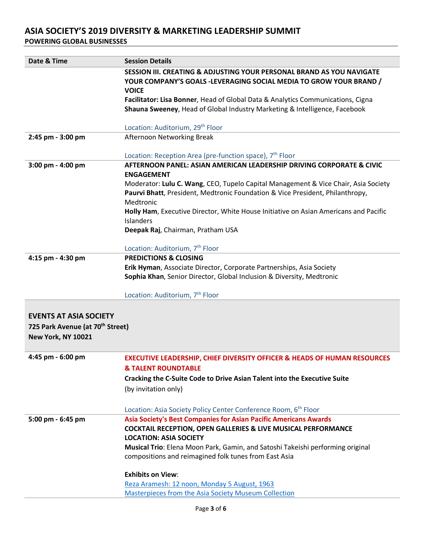| Date & Time                                  | <b>Session Details</b>                                                                                                                                                           |
|----------------------------------------------|----------------------------------------------------------------------------------------------------------------------------------------------------------------------------------|
|                                              | <b>SESSION III. CREATING &amp; ADJUSTING YOUR PERSONAL BRAND AS YOU NAVIGATE</b><br>YOUR COMPANY'S GOALS -LEVERAGING SOCIAL MEDIA TO GROW YOUR BRAND /<br><b>VOICE</b>           |
|                                              | Facilitator: Lisa Bonner, Head of Global Data & Analytics Communications, Cigna<br>Shauna Sweeney, Head of Global Industry Marketing & Intelligence, Facebook                    |
|                                              | Location: Auditorium, 29 <sup>th</sup> Floor                                                                                                                                     |
| 2:45 pm - 3:00 pm                            | Afternoon Networking Break                                                                                                                                                       |
|                                              | Location: Reception Area (pre-function space), 7 <sup>th</sup> Floor                                                                                                             |
| 3:00 pm - 4:00 pm                            | AFTERNOON PANEL: ASIAN AMERICAN LEADERSHIP DRIVING CORPORATE & CIVIC<br><b>ENGAGEMENT</b>                                                                                        |
|                                              | Moderator: Lulu C. Wang, CEO, Tupelo Capital Management & Vice Chair, Asia Society<br>Paurvi Bhatt, President, Medtronic Foundation & Vice President, Philanthropy,<br>Medtronic |
|                                              | Holly Ham, Executive Director, White House Initiative on Asian Americans and Pacific                                                                                             |
|                                              | Islanders                                                                                                                                                                        |
|                                              | Deepak Raj, Chairman, Pratham USA                                                                                                                                                |
|                                              | Location: Auditorium, 7 <sup>th</sup> Floor                                                                                                                                      |
| 4:15 pm - 4:30 pm                            | <b>PREDICTIONS &amp; CLOSING</b>                                                                                                                                                 |
|                                              | Erik Hyman, Associate Director, Corporate Partnerships, Asia Society                                                                                                             |
|                                              | Sophia Khan, Senior Director, Global Inclusion & Diversity, Medtronic                                                                                                            |
|                                              |                                                                                                                                                                                  |
|                                              | Location: Auditorium, 7 <sup>th</sup> Floor                                                                                                                                      |
|                                              |                                                                                                                                                                                  |
| <b>EVENTS AT ASIA SOCIETY</b>                |                                                                                                                                                                                  |
| 725 Park Avenue (at 70 <sup>th</sup> Street) |                                                                                                                                                                                  |
| <b>New York, NY 10021</b>                    |                                                                                                                                                                                  |
|                                              |                                                                                                                                                                                  |
| 4:45 pm - 6:00 pm                            | <b>EXECUTIVE LEADERSHIP, CHIEF DIVERSITY OFFICER &amp; HEADS OF HUMAN RESOURCES</b>                                                                                              |
|                                              | <b>&amp; TALENT ROUNDTABLE</b>                                                                                                                                                   |
|                                              | Cracking the C-Suite Code to Drive Asian Talent into the Executive Suite                                                                                                         |
|                                              | (by invitation only)                                                                                                                                                             |
|                                              | Location: Asia Society Policy Center Conference Room, 6 <sup>th</sup> Floor                                                                                                      |
| 5:00 pm - 6:45 pm                            | <b>Asia Society's Best Companies for Asian Pacific Americans Awards</b>                                                                                                          |
|                                              | <b>COCKTAIL RECEPTION, OPEN GALLERIES &amp; LIVE MUSICAL PERFORMANCE</b>                                                                                                         |
|                                              | <b>LOCATION: ASIA SOCIETY</b>                                                                                                                                                    |
|                                              | Musical Trio: Elena Moon Park, Gamin, and Satoshi Takeishi performing original                                                                                                   |
|                                              | compositions and reimagined folk tunes from East Asia                                                                                                                            |
|                                              | <b>Exhibits on View:</b>                                                                                                                                                         |
|                                              | Reza Aramesh: 12 noon, Monday 5 August, 1963                                                                                                                                     |
|                                              | Masterpieces from the Asia Society Museum Collection                                                                                                                             |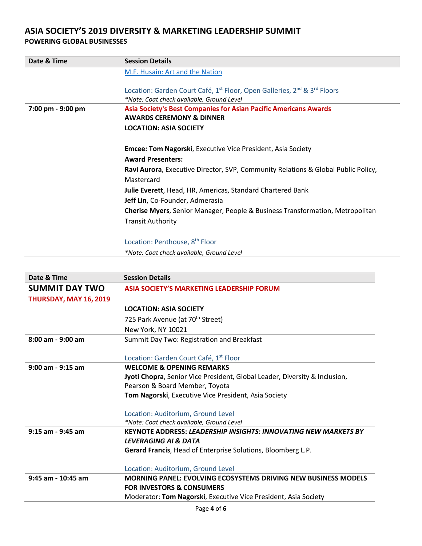| Date & Time       | <b>Session Details</b>                                                                                       |
|-------------------|--------------------------------------------------------------------------------------------------------------|
|                   | M.F. Husain: Art and the Nation                                                                              |
|                   |                                                                                                              |
|                   | Location: Garden Court Café, 1 <sup>st</sup> Floor, Open Galleries, 2 <sup>nd</sup> & 3 <sup>rd</sup> Floors |
|                   | *Note: Coat check available, Ground Level                                                                    |
| 7:00 pm - 9:00 pm | <b>Asia Society's Best Companies for Asian Pacific Americans Awards</b>                                      |
|                   | <b>AWARDS CEREMONY &amp; DINNER</b>                                                                          |
|                   | <b>LOCATION: ASIA SOCIETY</b>                                                                                |
|                   | <b>Emcee: Tom Nagorski, Executive Vice President, Asia Society</b>                                           |
|                   | <b>Award Presenters:</b>                                                                                     |
|                   | Ravi Aurora, Executive Director, SVP, Community Relations & Global Public Policy,<br>Mastercard              |
|                   | Julie Everett, Head, HR, Americas, Standard Chartered Bank                                                   |
|                   | Jeff Lin, Co-Founder, Admerasia                                                                              |
|                   | <b>Cherise Myers</b> , Senior Manager, People & Business Transformation, Metropolitan                        |
|                   | <b>Transit Authority</b>                                                                                     |
|                   | Location: Penthouse, 8 <sup>th</sup> Floor                                                                   |
|                   | *Note: Coat check available, Ground Level                                                                    |

| Date & Time            | <b>Session Details</b>                                                     |
|------------------------|----------------------------------------------------------------------------|
| <b>SUMMIT DAY TWO</b>  | <b>ASIA SOCIETY'S MARKETING LEADERSHIP FORUM</b>                           |
| THURSDAY, MAY 16, 2019 |                                                                            |
|                        | <b>LOCATION: ASIA SOCIETY</b>                                              |
|                        | 725 Park Avenue (at 70 <sup>th</sup> Street)                               |
|                        | New York, NY 10021                                                         |
| $8:00$ am - 9:00 am    | Summit Day Two: Registration and Breakfast                                 |
|                        |                                                                            |
|                        | Location: Garden Court Café, 1 <sup>st</sup> Floor                         |
| 9:00 am - 9:15 am      | <b>WELCOME &amp; OPENING REMARKS</b>                                       |
|                        | Jyoti Chopra, Senior Vice President, Global Leader, Diversity & Inclusion, |
|                        | Pearson & Board Member, Toyota                                             |
|                        | Tom Nagorski, Executive Vice President, Asia Society                       |
|                        | Location: Auditorium, Ground Level                                         |
|                        | *Note: Coat check available, Ground Level                                  |
| $9:15$ am - $9:45$ am  | <b>KEYNOTE ADDRESS: LEADERSHIP INSIGHTS: INNOVATING NEW MARKETS BY</b>     |
|                        | <b>LEVERAGING AI &amp; DATA</b>                                            |
|                        | Gerard Francis, Head of Enterprise Solutions, Bloomberg L.P.               |
|                        | Location: Auditorium, Ground Level                                         |
| 9:45 am - 10:45 am     | <b>MORNING PANEL: EVOLVING ECOSYSTEMS DRIVING NEW BUSINESS MODELS</b>      |
|                        | <b>FOR INVESTORS &amp; CONSUMERS</b>                                       |
|                        | Moderator: Tom Nagorski, Executive Vice President, Asia Society            |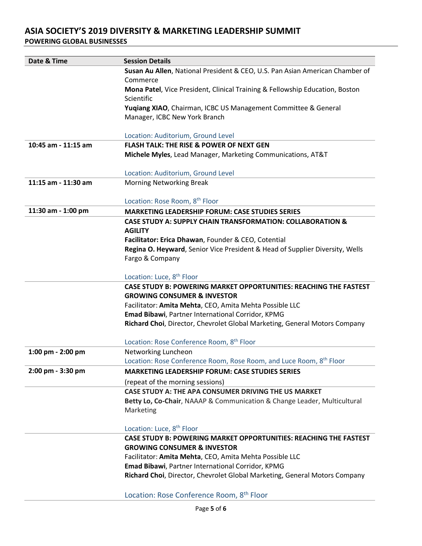| Date & Time         | <b>Session Details</b>                                                          |
|---------------------|---------------------------------------------------------------------------------|
|                     | Susan Au Allen, National President & CEO, U.S. Pan Asian American Chamber of    |
|                     | Commerce                                                                        |
|                     | Mona Patel, Vice President, Clinical Training & Fellowship Education, Boston    |
|                     | Scientific                                                                      |
|                     | Yuqiang XIAO, Chairman, ICBC US Management Committee & General                  |
|                     | Manager, ICBC New York Branch                                                   |
|                     |                                                                                 |
|                     | Location: Auditorium, Ground Level                                              |
| 10:45 am - 11:15 am | <b>FLASH TALK: THE RISE &amp; POWER OF NEXT GEN</b>                             |
|                     | Michele Myles, Lead Manager, Marketing Communications, AT&T                     |
|                     |                                                                                 |
|                     | Location: Auditorium, Ground Level                                              |
| 11:15 am - 11:30 am | <b>Morning Networking Break</b>                                                 |
|                     |                                                                                 |
|                     | Location: Rose Room, 8 <sup>th</sup> Floor                                      |
| 11:30 am - 1:00 pm  | <b>MARKETING LEADERSHIP FORUM: CASE STUDIES SERIES</b>                          |
|                     | <b>CASE STUDY A: SUPPLY CHAIN TRANSFORMATION: COLLABORATION &amp;</b>           |
|                     | <b>AGILITY</b>                                                                  |
|                     | Facilitator: Erica Dhawan, Founder & CEO, Cotential                             |
|                     | Regina O. Heyward, Senior Vice President & Head of Supplier Diversity, Wells    |
|                     | Fargo & Company                                                                 |
|                     | Location: Luce, 8 <sup>th</sup> Floor                                           |
|                     | <b>CASE STUDY B: POWERING MARKET OPPORTUNITIES: REACHING THE FASTEST</b>        |
|                     | <b>GROWING CONSUMER &amp; INVESTOR</b>                                          |
|                     | Facilitator: Amita Mehta, CEO, Amita Mehta Possible LLC                         |
|                     | Emad Bibawi, Partner International Corridor, KPMG                               |
|                     | Richard Choi, Director, Chevrolet Global Marketing, General Motors Company      |
|                     | Location: Rose Conference Room, 8 <sup>th</sup> Floor                           |
| 1:00 pm - 2:00 pm   | Networking Luncheon                                                             |
|                     | Location: Rose Conference Room, Rose Room, and Luce Room, 8 <sup>th</sup> Floor |
| 2:00 pm - 3:30 pm   | <b>MARKETING LEADERSHIP FORUM: CASE STUDIES SERIES</b>                          |
|                     | (repeat of the morning sessions)                                                |
|                     | CASE STUDY A: THE APA CONSUMER DRIVING THE US MARKET                            |
|                     | Betty Lo, Co-Chair, NAAAP & Communication & Change Leader, Multicultural        |
|                     | Marketing                                                                       |
|                     |                                                                                 |
|                     | Location: Luce, 8 <sup>th</sup> Floor                                           |
|                     | <b>CASE STUDY B: POWERING MARKET OPPORTUNITIES: REACHING THE FASTEST</b>        |
|                     | <b>GROWING CONSUMER &amp; INVESTOR</b>                                          |
|                     | Facilitator: Amita Mehta, CEO, Amita Mehta Possible LLC                         |
|                     | Emad Bibawi, Partner International Corridor, KPMG                               |
|                     | Richard Choi, Director, Chevrolet Global Marketing, General Motors Company      |
|                     |                                                                                 |
|                     | Location: Rose Conference Room, 8 <sup>th</sup> Floor                           |